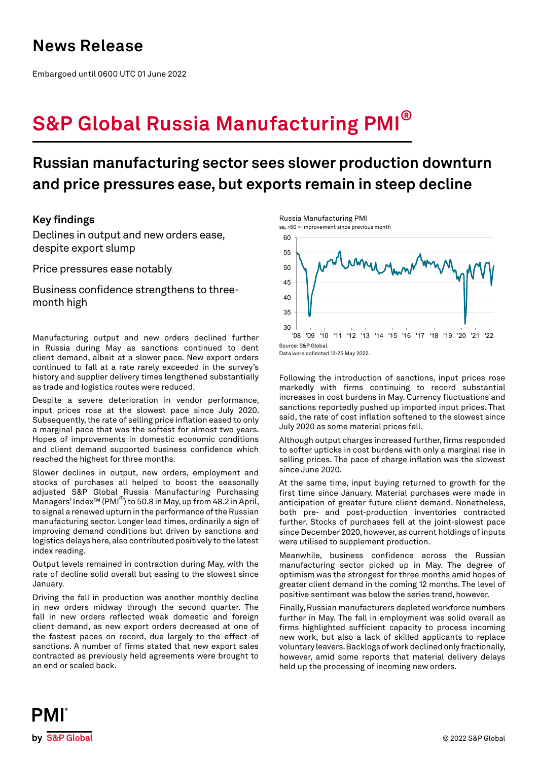## **News Release**

Embargoed until 0600 UTC 01 June 2022

# **S&P Global Russia Manufacturing PMI®**

## **Russian manufacturing sector sees slower production downturn and price pressures ease, but exports remain in steep decline**

## **Key findings**

Declines in output and new orders ease, despite export slump

Price pressures ease notably

Business confidence strengthens to threemonth high

Manufacturing output and new orders declined further in Russia during May as sanctions continued to dent client demand, albeit at a slower pace. New export orders continued to fall at a rate rarely exceeded in the survey's history and supplier delivery times lengthened substantially as trade and logistics routes were reduced.

Despite a severe deterioration in vendor performance, input prices rose at the slowest pace since July 2020. Subsequently, the rate of selling price inflation eased to only a marginal pace that was the softest for almost two years. Hopes of improvements in domestic economic conditions and client demand supported business confidence which reached the highest for three months.

Slower declines in output, new orders, employment and stocks of purchases all helped to boost the seasonally adjusted S&P Global Russia Manufacturing Purchasing Managers' Index™ (PMI®) to 50.8 in May, up from 48.2 in April, to signal a renewed upturn in the performance of the Russian manufacturing sector. Longer lead times, ordinarily a sign of improving demand conditions but driven by sanctions and logistics delays here, also contributed positively to the latest index reading.

Output levels remained in contraction during May, with the rate of decline solid overall but easing to the slowest since January.

Driving the fall in production was another monthly decline in new orders midway through the second quarter. The fall in new orders reflected weak domestic and foreign client demand, as new export orders decreased at one of the fastest paces on record, due largely to the effect of sanctions. A number of firms stated that new export sales contracted as previously held agreements were brought to an end or scaled back.







Data were collected 12-25 May 2022.

Following the introduction of sanctions, input prices rose markedly with firms continuing to record substantial increases in cost burdens in May. Currency fluctuations and sanctions reportedly pushed up imported input prices. That said, the rate of cost inflation softened to the slowest since July 2020 as some material prices fell.

Although output charges increased further, firms responded to softer upticks in cost burdens with only a marginal rise in selling prices. The pace of charge inflation was the slowest since June 2020.

At the same time, input buying returned to growth for the first time since January. Material purchases were made in anticipation of greater future client demand. Nonetheless, both pre- and post-production inventories contracted further. Stocks of purchases fell at the joint-slowest pace since December 2020, however, as current holdings of inputs were utilised to supplement production.

Meanwhile, business confidence across the Russian manufacturing sector picked up in May. The degree of optimism was the strongest for three months amid hopes of greater client demand in the coming 12 months. The level of positive sentiment was below the series trend, however.

Finally, Russian manufacturers depleted workforce numbers further in May. The fall in employment was solid overall as firms highlighted sufficient capacity to process incoming new work, but also a lack of skilled applicants to replace voluntary leavers. Backlogs of work declined only fractionally, however, amid some reports that material delivery delays held up the processing of incoming new orders.